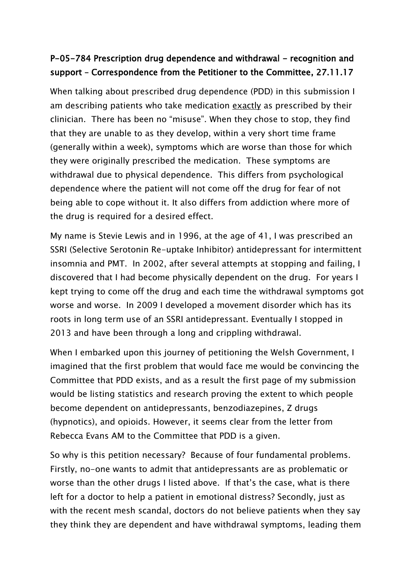## P-05-784 Prescription drug dependence and withdrawal - recognition and support – Correspondence from the Petitioner to the Committee, 27.11.17

When talking about prescribed drug dependence (PDD) in this submission I am describing patients who take medication exactly as prescribed by their clinician. There has been no "misuse". When they chose to stop, they find that they are unable to as they develop, within a very short time frame (generally within a week), symptoms which are worse than those for which they were originally prescribed the medication. These symptoms are withdrawal due to physical dependence. This differs from psychological dependence where the patient will not come off the drug for fear of not being able to cope without it. It also differs from addiction where more of the drug is required for a desired effect.

My name is Stevie Lewis and in 1996, at the age of 41, I was prescribed an SSRI (Selective Serotonin Re-uptake Inhibitor) antidepressant for intermittent insomnia and PMT. In 2002, after several attempts at stopping and failing, I discovered that I had become physically dependent on the drug. For years I kept trying to come off the drug and each time the withdrawal symptoms got worse and worse. In 2009 I developed a movement disorder which has its roots in long term use of an SSRI antidepressant. Eventually I stopped in 2013 and have been through a long and crippling withdrawal.

When I embarked upon this journey of petitioning the Welsh Government, I imagined that the first problem that would face me would be convincing the Committee that PDD exists, and as a result the first page of my submission would be listing statistics and research proving the extent to which people become dependent on antidepressants, benzodiazepines, Z drugs (hypnotics), and opioids. However, it seems clear from the letter from Rebecca Evans AM to the Committee that PDD is a given.

So why is this petition necessary? Because of four fundamental problems. Firstly, no-one wants to admit that antidepressants are as problematic or worse than the other drugs I listed above. If that's the case, what is there left for a doctor to help a patient in emotional distress? Secondly, just as with the recent mesh scandal, doctors do not believe patients when they say they think they are dependent and have withdrawal symptoms, leading them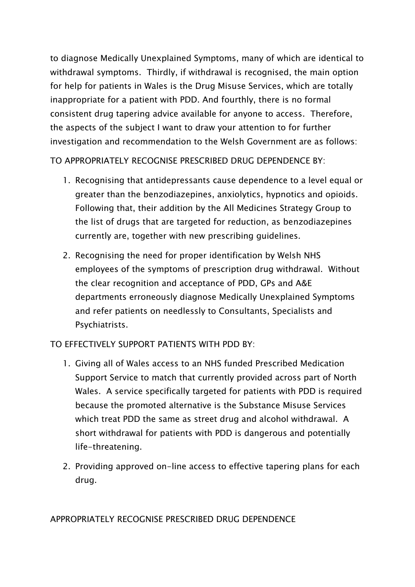to diagnose Medically Unexplained Symptoms, many of which are identical to withdrawal symptoms. Thirdly, if withdrawal is recognised, the main option for help for patients in Wales is the Drug Misuse Services, which are totally inappropriate for a patient with PDD. And fourthly, there is no formal consistent drug tapering advice available for anyone to access. Therefore, the aspects of the subject I want to draw your attention to for further investigation and recommendation to the Welsh Government are as follows:

TO APPROPRIATELY RECOGNISE PRESCRIBED DRUG DEPENDENCE BY:

- 1. Recognising that antidepressants cause dependence to a level equal or greater than the benzodiazepines, anxiolytics, hypnotics and opioids. Following that, their addition by the All Medicines Strategy Group to the list of drugs that are targeted for reduction, as benzodiazepines currently are, together with new prescribing guidelines.
- 2. Recognising the need for proper identification by Welsh NHS employees of the symptoms of prescription drug withdrawal. Without the clear recognition and acceptance of PDD, GPs and A&E departments erroneously diagnose Medically Unexplained Symptoms and refer patients on needlessly to Consultants, Specialists and Psychiatrists.

TO EFFECTIVELY SUPPORT PATIENTS WITH PDD BY:

- 1. Giving all of Wales access to an NHS funded Prescribed Medication Support Service to match that currently provided across part of North Wales. A service specifically targeted for patients with PDD is required because the promoted alternative is the Substance Misuse Services which treat PDD the same as street drug and alcohol withdrawal. A short withdrawal for patients with PDD is dangerous and potentially life-threatening.
- 2. Providing approved on-line access to effective tapering plans for each drug.

APPROPRIATELY RECOGNISE PRESCRIBED DRUG DEPENDENCE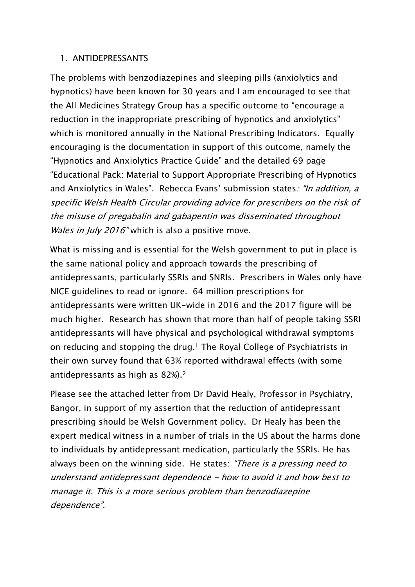## 1. ANTIDEPRESSANTS

The problems with benzodiazepines and sleeping pills (anxiolytics and hypnotics) have been known for 30 years and I am encouraged to see that the All Medicines Strategy Group has a specific outcome to "encourage a reduction in the inappropriate prescribing of hypnotics and anxiolytics" which is monitored annually in the National Prescribing Indicators. Equally encouraging is the documentation in support of this outcome, namely the "Hypnotics and Anxiolytics Practice Guide" and the detailed 69 page "Educational Pack: Material to Support Appropriate Prescribing of Hypnotics and Anxiolytics in Wales". Rebecca Evans' submission states: "In addition, a specific Welsh Health Circular providing advice for prescribers on the risk of the misuse of pregabalin and gabapentin was disseminated throughout Wales in July 2016" which is also a positive move.

What is missing and is essential for the Welsh government to put in place is the same national policy and approach towards the prescribing of antidepressants, particularly SSRIs and SNRIs. Prescribers in Wales only have NICE guidelines to read or ignore. 64 million prescriptions for antidepressants were written UK-wide in 2016 and the 2017 figure will be much higher. Research has shown that more than half of people taking SSRI antidepressants will have physical and psychological withdrawal symptoms on reducing and stopping the drug.<sup>1</sup> The Royal College of Psychiatrists in their own survey found that 63% reported withdrawal effects (with some antidepressants as high as 82%).<sup>2</sup>

Please see the attached letter from Dr David Healy, Professor in Psychiatry, Bangor, in support of my assertion that the reduction of antidepressant prescribing should be Welsh Government policy. Dr Healy has been the expert medical witness in a number of trials in the US about the harms done to individuals by antidepressant medication, particularly the SSRIs. He has always been on the winning side. He states: "There is a pressing need to understand antidepressant dependence - how to avoid it and how best to manage it. This is a more serious problem than benzodiazepine dependence".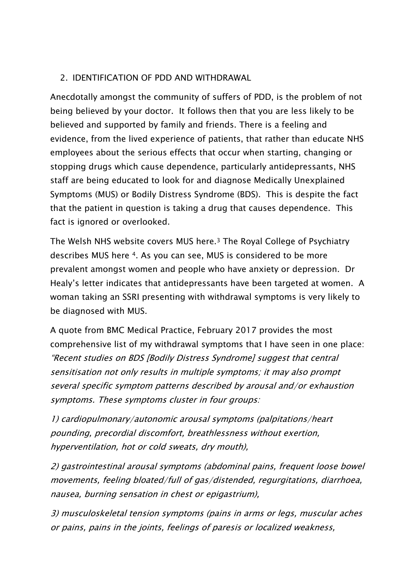## 2. IDENTIFICATION OF PDD AND WITHDRAWAL

Anecdotally amongst the community of suffers of PDD, is the problem of not being believed by your doctor. It follows then that you are less likely to be believed and supported by family and friends. There is a feeling and evidence, from the lived experience of patients, that rather than educate NHS employees about the serious effects that occur when starting, changing or stopping drugs which cause dependence, particularly antidepressants, NHS staff are being educated to look for and diagnose Medically Unexplained Symptoms (MUS) or Bodily Distress Syndrome (BDS). This is despite the fact that the patient in question is taking a drug that causes dependence. This fact is ignored or overlooked.

The Welsh NHS website covers MUS here.<sup>3</sup> The Royal College of Psychiatry describes MUS here 4. As you can see, MUS is considered to be more prevalent amongst women and people who have anxiety or depression. Dr Healy's letter indicates that antidepressants have been targeted at women. A woman taking an SSRI presenting with withdrawal symptoms is very likely to be diagnosed with MUS.

A quote from BMC Medical Practice, February 2017 provides the most comprehensive list of my withdrawal symptoms that I have seen in one place: "Recent studies on BDS [Bodily Distress Syndrome] suggest that central sensitisation not only results in multiple symptoms; it may also prompt several specific symptom patterns described by arousal and/or exhaustion symptoms. These symptoms cluster in four groups:

1) cardiopulmonary/autonomic arousal symptoms (palpitations/heart pounding, precordial discomfort, breathlessness without exertion, hyperventilation, hot or cold sweats, dry mouth),

2) gastrointestinal arousal symptoms (abdominal pains, frequent loose bowel movements, feeling bloated/full of gas/distended, regurgitations, diarrhoea, nausea, burning sensation in chest or epigastrium),

3) musculoskeletal tension symptoms (pains in arms or legs, muscular aches or pains, pains in the joints, feelings of paresis or localized weakness,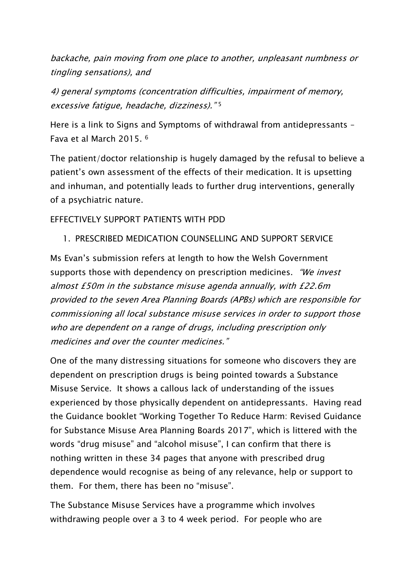backache, pain moving from one place to another, unpleasant numbness or tingling sensations), and

4) general symptoms (concentration difficulties, impairment of memory, excessive fatigue, headache, dizziness)." 5

Here is a link to Signs and Symptoms of withdrawal from antidepressants – Fava et al March 2015. <sup>6</sup>

The patient/doctor relationship is hugely damaged by the refusal to believe a patient's own assessment of the effects of their medication. It is upsetting and inhuman, and potentially leads to further drug interventions, generally of a psychiatric nature.

EFFECTIVELY SUPPORT PATIENTS WITH PDD

1. PRESCRIBED MEDICATION COUNSELLING AND SUPPORT SERVICE

Ms Evan's submission refers at length to how the Welsh Government supports those with dependency on prescription medicines. "We invest almost £50m in the substance misuse agenda annually, with £22.6m provided to the seven Area Planning Boards (APBs) which are responsible for commissioning all local substance misuse services in order to support those who are dependent on a range of drugs, including prescription only medicines and over the counter medicines."

One of the many distressing situations for someone who discovers they are dependent on prescription drugs is being pointed towards a Substance Misuse Service. It shows a callous lack of understanding of the issues experienced by those physically dependent on antidepressants. Having read the Guidance booklet "Working Together To Reduce Harm: Revised Guidance for Substance Misuse Area Planning Boards 2017", which is littered with the words "drug misuse" and "alcohol misuse", I can confirm that there is nothing written in these 34 pages that anyone with prescribed drug dependence would recognise as being of any relevance, help or support to them. For them, there has been no "misuse".

The Substance Misuse Services have a programme which involves withdrawing people over a 3 to 4 week period. For people who are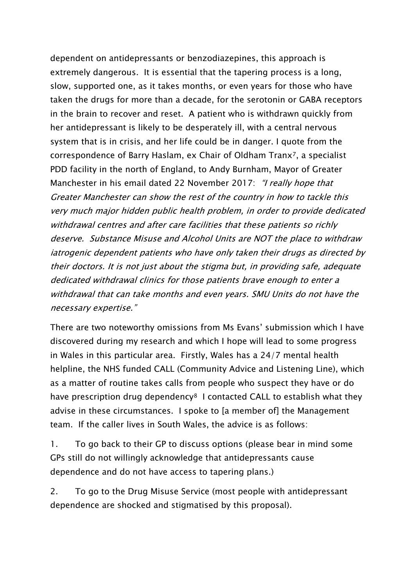dependent on antidepressants or benzodiazepines, this approach is extremely dangerous. It is essential that the tapering process is a long, slow, supported one, as it takes months, or even years for those who have taken the drugs for more than a decade, for the serotonin or GABA receptors in the brain to recover and reset. A patient who is withdrawn quickly from her antidepressant is likely to be desperately ill, with a central nervous system that is in crisis, and her life could be in danger. I quote from the correspondence of Barry Haslam, ex Chair of Oldham Tranx7, a specialist PDD facility in the north of England, to Andy Burnham, Mayor of Greater Manchester in his email dated 22 November 2017: "*I really hope that* Greater Manchester can show the rest of the country in how to tackle this very much major hidden public health problem, in order to provide dedicated withdrawal centres and after care facilities that these patients so richly deserve. Substance Misuse and Alcohol Units are NOT the place to withdraw iatrogenic dependent patients who have only taken their drugs as directed by their doctors. It is not just about the stigma but, in providing safe, adequate dedicated withdrawal clinics for those patients brave enough to enter a withdrawal that can take months and even years. SMU Units do not have the necessary expertise."

There are two noteworthy omissions from Ms Evans' submission which I have discovered during my research and which I hope will lead to some progress in Wales in this particular area. Firstly, Wales has a 24/7 mental health helpline, the NHS funded CALL (Community Advice and Listening Line), which as a matter of routine takes calls from people who suspect they have or do have prescription drug dependency<sup>8</sup> I contacted CALL to establish what they advise in these circumstances. I spoke to [a member of] the Management team. If the caller lives in South Wales, the advice is as follows:

1. To go back to their GP to discuss options (please bear in mind some GPs still do not willingly acknowledge that antidepressants cause dependence and do not have access to tapering plans.)

2. To go to the Drug Misuse Service (most people with antidepressant dependence are shocked and stigmatised by this proposal).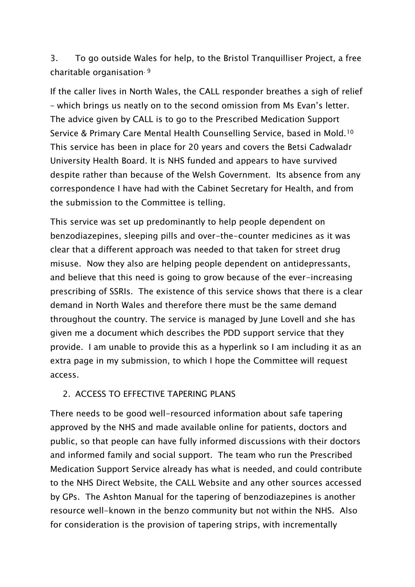3. To go outside Wales for help, to the Bristol Tranquilliser Project, a free charitable organisation. 9

If the caller lives in North Wales, the CALL responder breathes a sigh of relief – which brings us neatly on to the second omission from Ms Evan's letter. The advice given by CALL is to go to the Prescribed Medication Support Service & Primary Care Mental Health Counselling Service, based in Mold.<sup>10</sup> This service has been in place for 20 years and covers the Betsi Cadwaladr University Health Board. It is NHS funded and appears to have survived despite rather than because of the Welsh Government. Its absence from any correspondence I have had with the Cabinet Secretary for Health, and from the submission to the Committee is telling.

This service was set up predominantly to help people dependent on benzodiazepines, sleeping pills and over-the-counter medicines as it was clear that a different approach was needed to that taken for street drug misuse. Now they also are helping people dependent on antidepressants, and believe that this need is going to grow because of the ever-increasing prescribing of SSRIs. The existence of this service shows that there is a clear demand in North Wales and therefore there must be the same demand throughout the country. The service is managed by June Lovell and she has given me a document which describes the PDD support service that they provide. I am unable to provide this as a hyperlink so I am including it as an extra page in my submission, to which I hope the Committee will request access.

## 2. ACCESS TO EFFECTIVE TAPERING PLANS

There needs to be good well-resourced information about safe tapering approved by the NHS and made available online for patients, doctors and public, so that people can have fully informed discussions with their doctors and informed family and social support. The team who run the Prescribed Medication Support Service already has what is needed, and could contribute to the NHS Direct Website, the CALL Website and any other sources accessed by GPs. The Ashton Manual for the tapering of benzodiazepines is another resource well-known in the benzo community but not within the NHS. Also for consideration is the provision of tapering strips, with incrementally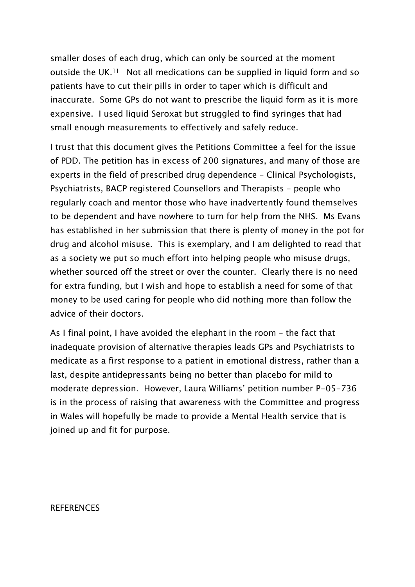smaller doses of each drug, which can only be sourced at the moment outside the UK.<sup>11</sup> Not all medications can be supplied in liquid form and so patients have to cut their pills in order to taper which is difficult and inaccurate. Some GPs do not want to prescribe the liquid form as it is more expensive. I used liquid Seroxat but struggled to find syringes that had small enough measurements to effectively and safely reduce.

I trust that this document gives the Petitions Committee a feel for the issue of PDD. The petition has in excess of 200 signatures, and many of those are experts in the field of prescribed drug dependence – Clinical Psychologists, Psychiatrists, BACP registered Counsellors and Therapists – people who regularly coach and mentor those who have inadvertently found themselves to be dependent and have nowhere to turn for help from the NHS. Ms Evans has established in her submission that there is plenty of money in the pot for drug and alcohol misuse. This is exemplary, and I am delighted to read that as a society we put so much effort into helping people who misuse drugs, whether sourced off the street or over the counter. Clearly there is no need for extra funding, but I wish and hope to establish a need for some of that money to be used caring for people who did nothing more than follow the advice of their doctors.

As I final point, I have avoided the elephant in the room – the fact that inadequate provision of alternative therapies leads GPs and Psychiatrists to medicate as a first response to a patient in emotional distress, rather than a last, despite antidepressants being no better than placebo for mild to moderate depression. However, Laura Williams' petition number P-05-736 is in the process of raising that awareness with the Committee and progress in Wales will hopefully be made to provide a Mental Health service that is joined up and fit for purpose.

**REFERENCES**